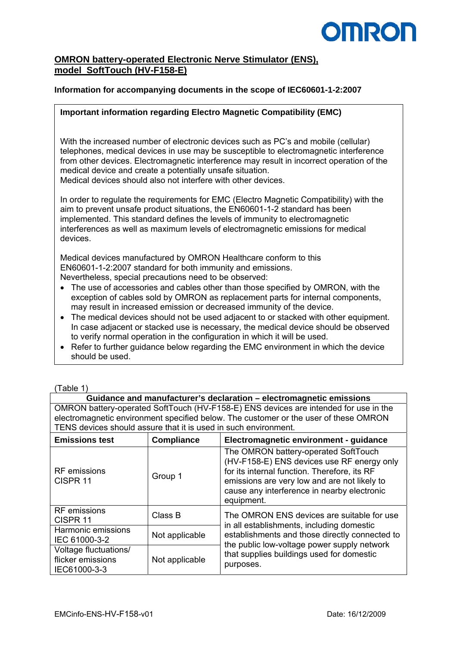# **OMRO**

## **OMRON battery-operated Electronic Nerve Stimulator (ENS), model SoftTouch (HV-F158-E)**

### **Information for accompanying documents in the scope of IEC60601-1-2:2007**

#### **Important information regarding Electro Magnetic Compatibility (EMC)**

With the increased number of electronic devices such as PC's and mobile (cellular) telephones, medical devices in use may be susceptible to electromagnetic interference from other devices. Electromagnetic interference may result in incorrect operation of the medical device and create a potentially unsafe situation. Medical devices should also not interfere with other devices.

In order to regulate the requirements for EMC (Electro Magnetic Compatibility) with the aim to prevent unsafe product situations, the EN60601-1-2 standard has been implemented. This standard defines the levels of immunity to electromagnetic interferences as well as maximum levels of electromagnetic emissions for medical devices.

Medical devices manufactured by OMRON Healthcare conform to this EN60601-1-2:2007 standard for both immunity and emissions. Nevertheless, special precautions need to be observed:

- The use of accessories and cables other than those specified by OMRON, with the exception of cables sold by OMRON as replacement parts for internal components, may result in increased emission or decreased immunity of the device.
- The medical devices should not be used adjacent to or stacked with other equipment. In case adjacent or stacked use is necessary, the medical device should be observed to verify normal operation in the configuration in which it will be used.
- Refer to further guidance below regarding the EMC environment in which the device should be used.

| (Table 1 |  |
|----------|--|
|          |  |

**Guidance and manufacturer's declaration – electromagnetic emissions**  OMRON battery-operated SoftTouch (HV-F158-E) ENS devices are intended for use in the electromagnetic environment specified below. The customer or the user of these OMRON TENS devices should assure that it is used in such environment.

| <b>Emissions test</b>                                      | <b>Compliance</b> | Electromagnetic environment - guidance                                                                                                                                                                                                          |  |
|------------------------------------------------------------|-------------------|-------------------------------------------------------------------------------------------------------------------------------------------------------------------------------------------------------------------------------------------------|--|
| <b>RF</b> emissions<br>CISPR <sub>11</sub>                 | Group 1           | The OMRON battery-operated SoftTouch<br>(HV-F158-E) ENS devices use RF energy only<br>for its internal function. Therefore, its RF<br>emissions are very low and are not likely to<br>cause any interference in nearby electronic<br>equipment. |  |
| <b>RF</b> emissions<br>CISPR <sub>11</sub>                 | Class B           | The OMRON ENS devices are suitable for use<br>in all establishments, including domestic                                                                                                                                                         |  |
| Harmonic emissions<br>IEC 61000-3-2                        | Not applicable    | establishments and those directly connected to                                                                                                                                                                                                  |  |
| Voltage fluctuations/<br>flicker emissions<br>IEC61000-3-3 | Not applicable    | the public low-voltage power supply network<br>that supplies buildings used for domestic<br>purposes.                                                                                                                                           |  |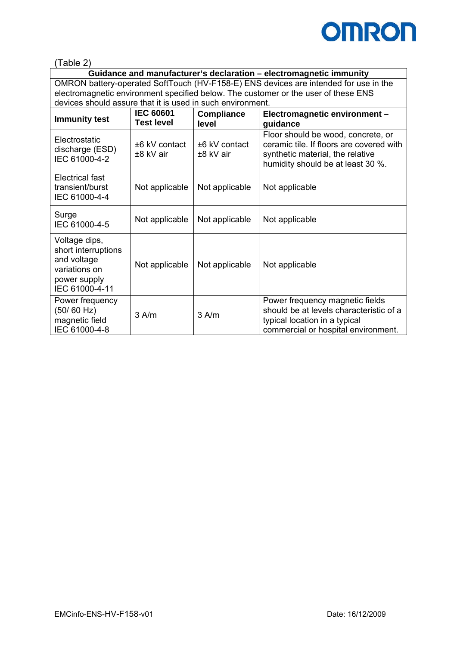

(Table 2)

**Guidance and manufacturer's declaration – electromagnetic immunity**  OMRON battery-operated SoftTouch (HV-F158-E) ENS devices are intended for use in the electromagnetic environment specified below. The customer or the user of these ENS devices should assure that it is used in such environment.

| <b>Immunity test</b>                                                                                   | <b>IEC 60601</b><br><b>Test level</b> | <b>Compliance</b><br>level     | Electromagnetic environment -<br>guidance                                                                                                               |  |
|--------------------------------------------------------------------------------------------------------|---------------------------------------|--------------------------------|---------------------------------------------------------------------------------------------------------------------------------------------------------|--|
| Electrostatic<br>discharge (ESD)<br>IEC 61000-4-2                                                      | $±6$ kV contact<br>$±8$ kV air        | $±6$ kV contact<br>$±8$ kV air | Floor should be wood, concrete, or<br>ceramic tile. If floors are covered with<br>synthetic material, the relative<br>humidity should be at least 30 %. |  |
| Electrical fast<br>transient/burst<br>IEC 61000-4-4                                                    | Not applicable                        | Not applicable                 | Not applicable                                                                                                                                          |  |
| Surge<br>IEC 61000-4-5                                                                                 | Not applicable                        | Not applicable                 | Not applicable                                                                                                                                          |  |
| Voltage dips,<br>short interruptions<br>and voltage<br>variations on<br>power supply<br>IEC 61000-4-11 | Not applicable                        | Not applicable                 | Not applicable                                                                                                                                          |  |
| Power frequency<br>(50/60 Hz)<br>magnetic field<br>IEC 61000-4-8                                       | $3$ A/m                               | 3 A/m                          | Power frequency magnetic fields<br>should be at levels characteristic of a<br>typical location in a typical<br>commercial or hospital environment.      |  |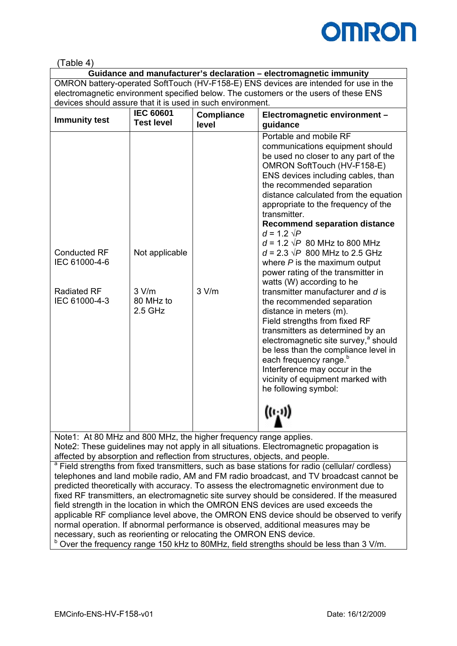

## (Table 4)

**Guidance and manufacturer's declaration – electromagnetic immunity**  OMRON battery-operated SoftTouch (HV-F158-E) ENS devices are intended for use in the electromagnetic environment specified below. The customers or the users of these ENS devices should assure that it is used in such environment.

| <b>Immunity test</b>                 | <b>IEC 60601</b><br><b>Test level</b> | <b>Compliance</b><br>level | Electromagnetic environment -<br>guidance                                                                                                                                                                                                                                                                                                                                                                                                                                              |
|--------------------------------------|---------------------------------------|----------------------------|----------------------------------------------------------------------------------------------------------------------------------------------------------------------------------------------------------------------------------------------------------------------------------------------------------------------------------------------------------------------------------------------------------------------------------------------------------------------------------------|
| <b>Conducted RF</b><br>IEC 61000-4-6 | Not applicable                        |                            | Portable and mobile RF<br>communications equipment should<br>be used no closer to any part of the<br>OMRON SoftTouch (HV-F158-E)<br>ENS devices including cables, than<br>the recommended separation<br>distance calculated from the equation<br>appropriate to the frequency of the<br>transmitter.<br><b>Recommend separation distance</b><br>$d = 1.2 \sqrt{P}$<br>$d = 1.2 \sqrt{P}$ 80 MHz to 800 MHz<br>$d = 2.3 \sqrt{P}$ 800 MHz to 2.5 GHz<br>where $P$ is the maximum output |
| <b>Radiated RF</b><br>IEC 61000-4-3  | 3 V/m<br>80 MHz to<br>$2.5$ GHz       | 3 V/m                      | power rating of the transmitter in<br>watts (W) according to he<br>transmitter manufacturer and d is<br>the recommended separation<br>distance in meters (m).<br>Field strengths from fixed RF<br>transmitters as determined by an<br>electromagnetic site survey, <sup>a</sup> should<br>be less than the compliance level in<br>each frequency range. <sup>b</sup><br>Interference may occur in the<br>vicinity of equipment marked with<br>he following symbol:<br>(0, 0)           |

Note1: At 80 MHz and 800 MHz, the higher frequency range applies. Note2: These guidelines may not apply in all situations. Electromagnetic propagation is affected by absorption and reflection from structures, objects, and people.

<sup>a</sup> Field strengths from fixed transmitters, such as base stations for radio (cellular/ cordless) telephones and land mobile radio, AM and FM radio broadcast, and TV broadcast cannot be predicted theoretically with accuracy. To assess the electromagnetic environment due to fixed RF transmitters, an electromagnetic site survey should be considered. If the measured field strength in the location in which the OMRON ENS devices are used exceeds the applicable RF compliance level above, the OMRON ENS device should be observed to verify normal operation. If abnormal performance is observed, additional measures may be necessary, such as reorienting or relocating the OMRON ENS device.

 $b$  Over the frequency range 150 kHz to 80MHz, field strengths should be less than 3 V/m.